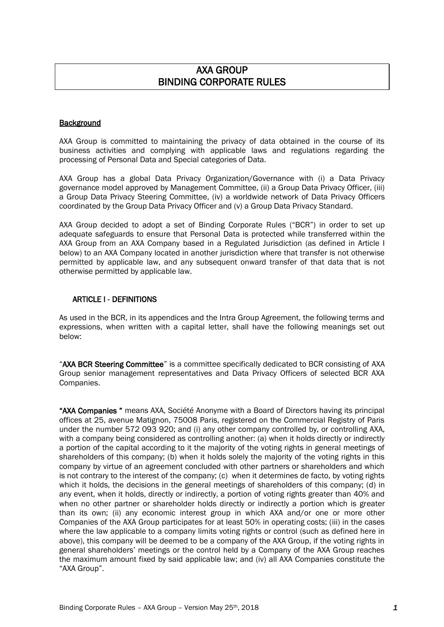# AXA GROUP BINDING CORPORATE RULES

# **Background**

AXA Group is committed to maintaining the privacy of data obtained in the course of its business activities and complying with applicable laws and regulations regarding the processing of Personal Data and Special categories of Data.

AXA Group has a global Data Privacy Organization/Governance with (i) a Data Privacy governance model approved by Management Committee, (ii) a Group Data Privacy Officer, (iii) a Group Data Privacy Steering Committee, (iv) a worldwide network of Data Privacy Officers coordinated by the Group Data Privacy Officer and (v) a Group Data Privacy Standard.

AXA Group decided to adopt a set of Binding Corporate Rules ("BCR") in order to set up adequate safeguards to ensure that Personal Data is protected while transferred within the AXA Group from an AXA Company based in a Regulated Jurisdiction (as defined in Article I below) to an AXA Company located in another jurisdiction where that transfer is not otherwise permitted by applicable law, and any subsequent onward transfer of that data that is not otherwise permitted by applicable law.

### ARTICLE I - DEFINITIONS

As used in the BCR, in its appendices and the Intra Group Agreement, the following terms and expressions, when written with a capital letter, shall have the following meanings set out below:

"AXA BCR Steering Committee" is a committee specifically dedicated to BCR consisting of AXA Group senior management representatives and Data Privacy Officers of selected BCR AXA Companies.

"AXA Companies" means AXA, Société Anonyme with a Board of Directors having its principal offices at 25, avenue Matignon, 75008 Paris, registered on the Commercial Registry of Paris under the number 572 093 920; and (i) any other company controlled by, or controlling AXA, with a company being considered as controlling another: (a) when it holds directly or indirectly a portion of the capital according to it the majority of the voting rights in general meetings of shareholders of this company; (b) when it holds solely the majority of the voting rights in this company by virtue of an agreement concluded with other partners or shareholders and which is not contrary to the interest of the company; (c) when it determines de facto, by voting rights which it holds, the decisions in the general meetings of shareholders of this company; (d) in any event, when it holds, directly or indirectly, a portion of voting rights greater than 40% and when no other partner or shareholder holds directly or indirectly a portion which is greater than its own; (ii) any economic interest group in which AXA and/or one or more other Companies of the AXA Group participates for at least 50% in operating costs; (iii) in the cases where the law applicable to a company limits voting rights or control (such as defined here in above), this company will be deemed to be a company of the AXA Group, if the voting rights in general shareholders' meetings or the control held by a Company of the AXA Group reaches the maximum amount fixed by said applicable law; and (iv) all AXA Companies constitute the "AXA Group".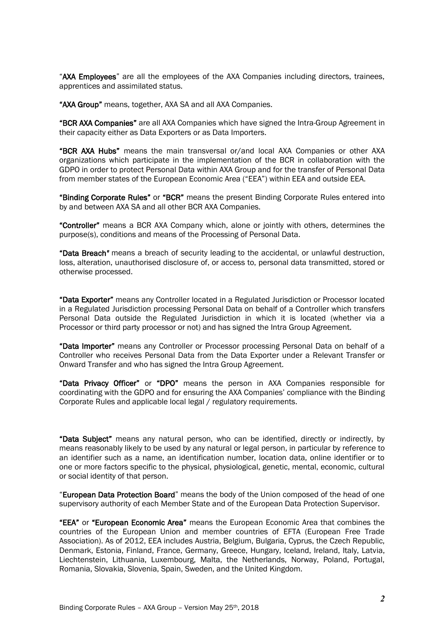"AXA Employees" are all the employees of the AXA Companies including directors, trainees, apprentices and assimilated status.

"AXA Group" means, together, AXA SA and all AXA Companies.

"BCR AXA Companies" are all AXA Companies which have signed the Intra-Group Agreement in their capacity either as Data Exporters or as Data Importers.

"BCR AXA Hubs" means the main transversal or/and local AXA Companies or other AXA organizations which participate in the implementation of the BCR in collaboration with the GDPO in order to protect Personal Data within AXA Group and for the transfer of Personal Data from member states of the European Economic Area ("EEA") within EEA and outside EEA.

"Binding Corporate Rules" or "BCR" means the present Binding Corporate Rules entered into by and between AXA SA and all other BCR AXA Companies.

"Controller" means a BCR AXA Company which, alone or jointly with others, determines the purpose(s), conditions and means of the Processing of Personal Data.

"Data Breach*"* means a breach of security leading to the accidental, or unlawful destruction, loss, alteration, unauthorised disclosure of, or access to, personal data transmitted, stored or otherwise processed.

"Data Exporter" means any Controller located in a Regulated Jurisdiction or Processor located in a Regulated Jurisdiction processing Personal Data on behalf of a Controller which transfers Personal Data outside the Regulated Jurisdiction in which it is located (whether via a Processor or third party processor or not) and has signed the Intra Group Agreement.

"Data Importer" means any Controller or Processor processing Personal Data on behalf of a Controller who receives Personal Data from the Data Exporter under a Relevant Transfer or Onward Transfer and who has signed the Intra Group Agreement.

"Data Privacy Officer" or "DPO" means the person in AXA Companies responsible for coordinating with the GDPO and for ensuring the AXA Companies' compliance with the Binding Corporate Rules and applicable local legal / regulatory requirements.

"Data Subject" means any natural person, who can be identified, directly or indirectly, by means reasonably likely to be used by any natural or legal person, in particular by reference to an identifier such as a name, an identification number, location data, online identifier or to one or more factors specific to the physical, physiological, genetic, mental, economic, cultural or social identity of that person.

"European Data Protection Board" means the body of the Union composed of the head of one supervisory authority of each Member State and of the European Data Protection Supervisor.

"EEA" or "European Economic Area" means the European Economic Area that combines the countries of the European Union and member countries of EFTA (European Free Trade Association). As of 2012, EEA includes Austria, Belgium, Bulgaria, Cyprus, the Czech Republic, Denmark, Estonia, Finland, France, Germany, Greece, Hungary, Iceland, Ireland, Italy, Latvia, Liechtenstein, Lithuania, Luxembourg, Malta, the Netherlands, Norway, Poland, Portugal, Romania, Slovakia, Slovenia, Spain, Sweden, and the United Kingdom.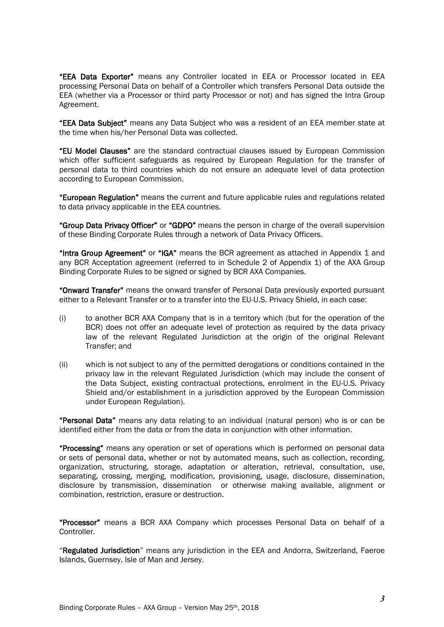"EEA Data Exporter" means any Controller located in EEA or Processor located in EEA processing Personal Data on behalf of a Controller which transfers Personal Data outside the EEA (whether via a Processor or third party Processor or not) and has signed the Intra Group Agreement.

"EEA Data Subject" means any Data Subject who was a resident of an EEA member state at the time when his/her Personal Data was collected.

"EU Model Clauses" are the standard contractual clauses issued by European Commission which offer sufficient safeguards as required by European Regulation for the transfer of personal data to third countries which do not ensure an adequate level of data protection according to European Commission.

"European Regulation" means the current and future applicable rules and regulations related to data privacy applicable in the EEA countries.

"Group Data Privacy Officer" or "GDPO" means the person in charge of the overall supervision of these Binding Corporate Rules through a network of Data Privacy Officers.

"Intra Group Agreement" or "IGA" means the BCR agreement as attached in Appendix 1 and any BCR Acceptation agreement (referred to in Schedule 2 of Appendix 1) of the AXA Group Binding Corporate Rules to be signed or signed by BCR AXA Companies.

"Onward Transfer" means the onward transfer of Personal Data previously exported pursuant either to a Relevant Transfer or to a transfer into the EU-U.S. Privacy Shield, in each case:

- (i) to another BCR AXA Company that is in a territory which (but for the operation of the BCR) does not offer an adequate level of protection as required by the data privacy law of the relevant Regulated Jurisdiction at the origin of the original Relevant Transfer; and
- (ii) which is not subject to any of the permitted derogations or conditions contained in the privacy law in the relevant Regulated Jurisdiction (which may include the consent of the Data Subject, existing contractual protections, enrolment in the EU-U.S. Privacy Shield and/or establishment in a jurisdiction approved by the European Commission under European Regulation).

"Personal Data" means any data relating to an individual (natural person) who is or can be identified either from the data or from the data in conjunction with other information.

"Processing" means any operation or set of operations which is performed on personal data or sets of personal data, whether or not by automated means, such as collection, recording, organization, structuring, storage, adaptation or alteration, retrieval, consultation, use, separating, crossing, merging, modification, provisioning, usage, disclosure, dissemination, disclosure by transmission, dissemination or otherwise making available, alignment or combination, restriction, erasure or destruction.

"Processor" means a BCR AXA Company which processes Personal Data on behalf of a **Controller** 

"Regulated Jurisdiction" means any jurisdiction in the EEA and Andorra, Switzerland, Faeroe Islands, Guernsey, Isle of Man and Jersey.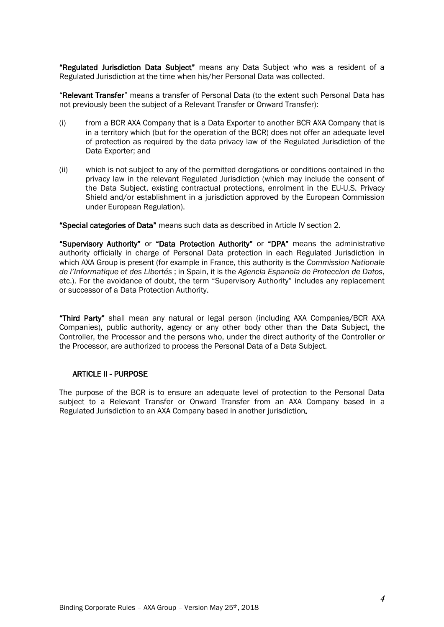"Regulated Jurisdiction Data Subject" means any Data Subject who was a resident of a Regulated Jurisdiction at the time when his/her Personal Data was collected.

"Relevant Transfer" means a transfer of Personal Data (to the extent such Personal Data has not previously been the subject of a Relevant Transfer or Onward Transfer):

- (i) from a BCR AXA Company that is a Data Exporter to another BCR AXA Company that is in a territory which (but for the operation of the BCR) does not offer an adequate level of protection as required by the data privacy law of the Regulated Jurisdiction of the Data Exporter; and
- (ii) which is not subject to any of the permitted derogations or conditions contained in the privacy law in the relevant Regulated Jurisdiction (which may include the consent of the Data Subject, existing contractual protections, enrolment in the EU-U.S. Privacy Shield and/or establishment in a jurisdiction approved by the European Commission under European Regulation).

"Special categories of Data" means such data as described in Article IV section 2.

"Supervisory Authority" or "Data Protection Authority" or "DPA" means the administrative authority officially in charge of Personal Data protection in each Regulated Jurisdiction in which AXA Group is present (for example in France, this authority is the *Commission Nationale de l'Informatique et des Libertés* ; in Spain, it is the *Agencia Espanola de Proteccion de Datos*, etc.). For the avoidance of doubt, the term "Supervisory Authority" includes any replacement or successor of a Data Protection Authority.

"Third Party" shall mean any natural or legal person (including AXA Companies/BCR AXA Companies), public authority, agency or any other body other than the Data Subject, the Controller, the Processor and the persons who, under the direct authority of the Controller or the Processor, are authorized to process the Personal Data of a Data Subject.

# ARTICLE II - PURPOSE

The purpose of the BCR is to ensure an adequate level of protection to the Personal Data subject to a Relevant Transfer or Onward Transfer from an AXA Company based in a Regulated Jurisdiction to an AXA Company based in another jurisdiction*.*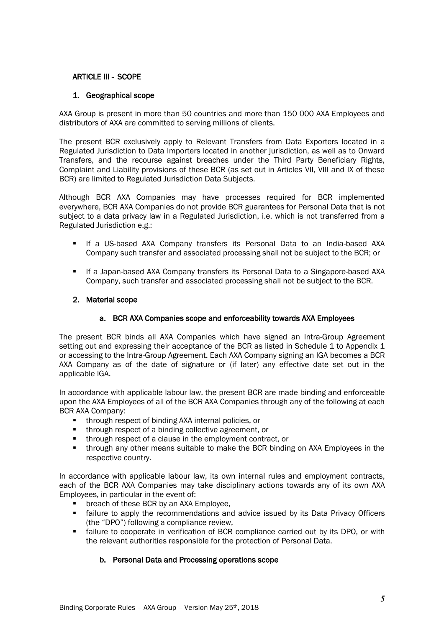# <span id="page-4-0"></span>ARTICLE III - SCOPE

# 1. Geographical scope

AXA Group is present in more than 50 countries and more than 150 000 AXA Employees and distributors of AXA are committed to serving millions of clients.

The present BCR exclusively apply to Relevant Transfers from Data Exporters located in a Regulated Jurisdiction to Data Importers located in another jurisdiction, as well as to Onward Transfers, and the recourse against breaches under the Third Party Beneficiary Rights, Complaint and Liability provisions of these BCR (as set out in Articles VII, VIII and IX of these BCR) are limited to Regulated Jurisdiction Data Subjects.

Although BCR AXA Companies may have processes required for BCR implemented everywhere, BCR AXA Companies do not provide BCR guarantees for Personal Data that is not subject to a data privacy law in a Regulated Jurisdiction, i.e. which is not transferred from a Regulated Jurisdiction e.g.:

- If a US-based AXA Company transfers its Personal Data to an India-based AXA Company such transfer and associated processing shall not be subject to the BCR; or
- If a Japan-based AXA Company transfers its Personal Data to a Singapore-based AXA Company, such transfer and associated processing shall not be subject to the BCR.

# 2. Material scope

# a. BCR AXA Companies scope and enforceability towards AXA Employees

The present BCR binds all AXA Companies which have signed an Intra-Group Agreement setting out and expressing their acceptance of the BCR as listed in Schedule 1 to Appendix 1 or accessing to the Intra-Group Agreement. Each AXA Company signing an IGA becomes a BCR AXA Company as of the date of signature or (if later) any effective date set out in the applicable IGA.

In accordance with applicable labour law, the present BCR are made binding and enforceable upon the AXA Employees of all of the BCR AXA Companies through any of the following at each BCR AXA Company:

- **through respect of binding AXA internal policies, or**
- **through respect of a binding collective agreement, or**
- through respect of a clause in the employment contract, or
- **through any other means suitable to make the BCR binding on AXA Employees in the** respective country.

In accordance with applicable labour law, its own internal rules and employment contracts, each of the BCR AXA Companies may take disciplinary actions towards any of its own AXA Employees, in particular in the event of:

- **•** breach of these BCR by an AXA Employee,
- **Failure to apply the recommendations and advice issued by its Data Privacy Officers** (the "DPO") following a compliance review,
- failure to cooperate in verification of BCR compliance carried out by its DPO, or with the relevant authorities responsible for the protection of Personal Data.

# b. Personal Data and Processing operations scope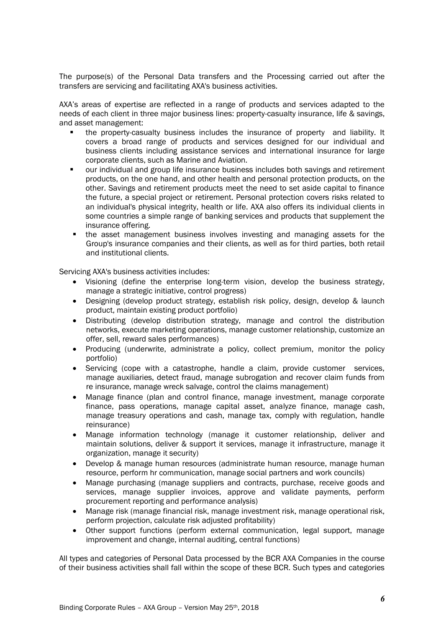The purpose(s) of the Personal Data transfers and the Processing carried out after the transfers are servicing and facilitating AXA's business activities.

AXA's areas of expertise are reflected in a range of products and services adapted to the needs of each client in three major business lines: property-casualty insurance, life & savings, and asset management:

- the property-casualty business includes the insurance of property and liability. It covers a broad range of products and services designed for our individual and business clients including assistance services and international insurance for large corporate clients, such as Marine and Aviation.
- our individual and group life insurance business includes both savings and retirement products, on the one hand, and other health and personal protection products, on the other. Savings and retirement products meet the need to set aside capital to finance the future, a special project or retirement. Personal protection covers risks related to an individual's physical integrity, health or life. AXA also offers its individual clients in some countries a simple range of banking services and products that supplement the insurance offering.
- the asset management business involves investing and managing assets for the Group's insurance companies and their clients, as well as for third parties, both retail and institutional clients.

Servicing AXA's business activities includes:

- Visioning (define the enterprise long-term vision, develop the business strategy, manage a strategic initiative, control progress)
- Designing (develop product strategy, establish risk policy, design, develop & launch product, maintain existing product portfolio)
- Distributing (develop distribution strategy, manage and control the distribution networks, execute marketing operations, manage customer relationship, customize an offer, sell, reward sales performances)
- Producing (underwrite, administrate a policy, collect premium, monitor the policy portfolio)
- Servicing (cope with a catastrophe, handle a claim, provide customer services, manage auxiliaries, detect fraud, manage subrogation and recover claim funds from re insurance, manage wreck salvage, control the claims management)
- Manage finance (plan and control finance, manage investment, manage corporate finance, pass operations, manage capital asset, analyze finance, manage cash, manage treasury operations and cash, manage tax, comply with regulation, handle reinsurance)
- Manage information technology (manage it customer relationship, deliver and maintain solutions, deliver & support it services, manage it infrastructure, manage it organization, manage it security)
- Develop & manage human resources (administrate human resource, manage human resource, perform hr communication, manage social partners and work councils)
- Manage purchasing (manage suppliers and contracts, purchase, receive goods and services, manage supplier invoices, approve and validate payments, perform procurement reporting and performance analysis)
- Manage risk (manage financial risk, manage investment risk, manage operational risk, perform projection, calculate risk adjusted profitability)
- Other support functions (perform external communication, legal support, manage improvement and change, internal auditing, central functions)

All types and categories of Personal Data processed by the BCR AXA Companies in the course of their business activities shall fall within the scope of these BCR. Such types and categories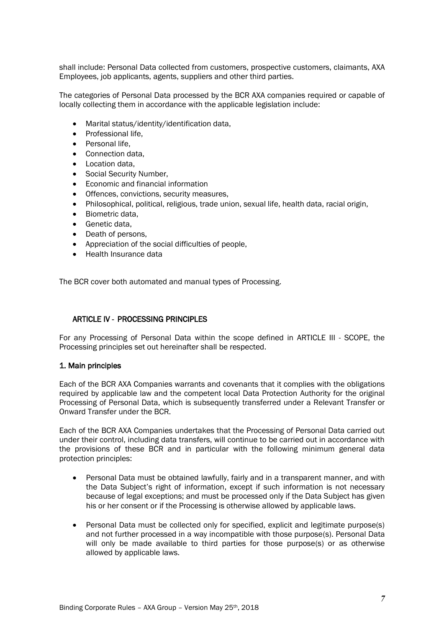shall include: Personal Data collected from customers, prospective customers, claimants, AXA Employees, job applicants, agents, suppliers and other third parties.

The categories of Personal Data processed by the BCR AXA companies required or capable of locally collecting them in accordance with the applicable legislation include:

- Marital status/identity/identification data,
- Professional life,
- Personal life,
- Connection data.
- Location data,
- Social Security Number,
- Economic and financial information
- Offences, convictions, security measures,
- Philosophical, political, religious, trade union, sexual life, health data, racial origin,
- Biometric data.
- Genetic data,
- Death of persons,
- Appreciation of the social difficulties of people,
- Health Insurance data

The BCR cover both automated and manual types of Processing.

# ARTICLE IV - PROCESSING PRINCIPLES

For any Processing of Personal Data within the scope defined in [ARTICLE III -](#page-4-0) SCOPE, the Processing principles set out hereinafter shall be respected.

#### 1. Main principles

Each of the BCR AXA Companies warrants and covenants that it complies with the obligations required by applicable law and the competent local Data Protection Authority for the original Processing of Personal Data, which is subsequently transferred under a Relevant Transfer or Onward Transfer under the BCR.

Each of the BCR AXA Companies undertakes that the Processing of Personal Data carried out under their control, including data transfers, will continue to be carried out in accordance with the provisions of these BCR and in particular with the following minimum general data protection principles:

- Personal Data must be obtained lawfully, fairly and in a transparent manner, and with the Data Subject's right of information, except if such information is not necessary because of legal exceptions; and must be processed only if the Data Subject has given his or her consent or if the Processing is otherwise allowed by applicable laws.
- Personal Data must be collected only for specified, explicit and legitimate purpose(s) and not further processed in a way incompatible with those purpose(s). Personal Data will only be made available to third parties for those purpose(s) or as otherwise allowed by applicable laws.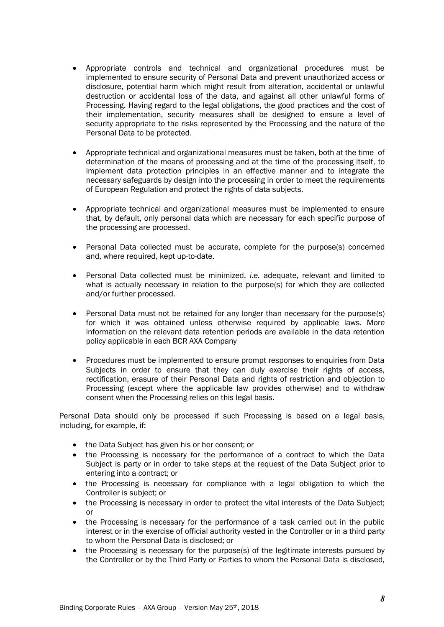- Appropriate controls and technical and organizational procedures must be implemented to ensure security of Personal Data and prevent unauthorized access or disclosure, potential harm which might result from alteration, accidental or unlawful destruction or accidental loss of the data, and against all other unlawful forms of Processing. Having regard to the legal obligations, the good practices and the cost of their implementation, security measures shall be designed to ensure a level of security appropriate to the risks represented by the Processing and the nature of the Personal Data to be protected.
- Appropriate technical and organizational measures must be taken, both at the time of determination of the means of processing and at the time of the processing itself, to implement data protection principles in an effective manner and to integrate the necessary safeguards by design into the processing in order to meet the requirements of European Regulation and protect the rights of data subjects.
- Appropriate technical and organizational measures must be implemented to ensure that, by default, only personal data which are necessary for each specific purpose of the processing are processed.
- Personal Data collected must be accurate, complete for the purpose(s) concerned and, where required, kept up-to-date.
- Personal Data collected must be minimized, *i.e.* adequate, relevant and limited to what is actually necessary in relation to the purpose(s) for which they are collected and/or further processed.
- Personal Data must not be retained for any longer than necessary for the purpose(s) for which it was obtained unless otherwise required by applicable laws. More information on the relevant data retention periods are available in the data retention policy applicable in each BCR AXA Company
- Procedures must be implemented to ensure prompt responses to enquiries from Data Subjects in order to ensure that they can duly exercise their rights of access, rectification, erasure of their Personal Data and rights of restriction and objection to Processing (except where the applicable law provides otherwise) and to withdraw consent when the Processing relies on this legal basis.

Personal Data should only be processed if such Processing is based on a legal basis, including, for example, if:

- the Data Subject has given his or her consent; or
- the Processing is necessary for the performance of a contract to which the Data Subject is party or in order to take steps at the request of the Data Subject prior to entering into a contract; or
- the Processing is necessary for compliance with a legal obligation to which the Controller is subject; or
- the Processing is necessary in order to protect the vital interests of the Data Subject: or
- the Processing is necessary for the performance of a task carried out in the public interest or in the exercise of official authority vested in the Controller or in a third party to whom the Personal Data is disclosed; or
- the Processing is necessary for the purpose(s) of the legitimate interests pursued by the Controller or by the Third Party or Parties to whom the Personal Data is disclosed,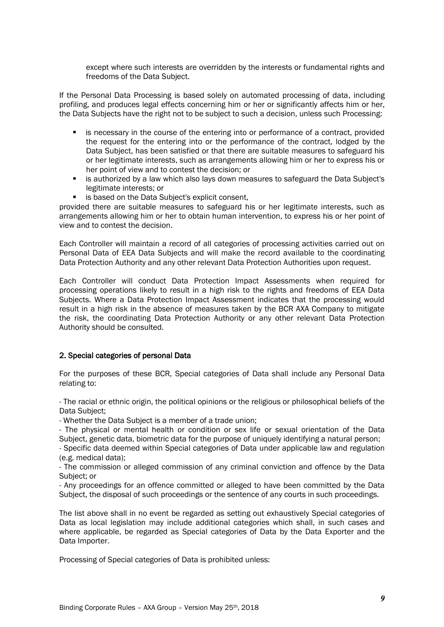except where such interests are overridden by the interests or fundamental rights and freedoms of the Data Subject.

If the Personal Data Processing is based solely on automated processing of data, including profiling, and produces legal effects concerning him or her or significantly affects him or her, the Data Subjects have the right not to be subject to such a decision, unless such Processing:

- is necessary in the course of the entering into or performance of a contract, provided the request for the entering into or the performance of the contract, lodged by the Data Subject, has been satisfied or that there are suitable measures to safeguard his or her legitimate interests, such as arrangements allowing him or her to express his or her point of view and to contest the decision; or
- **EXECT** is authorized by a law which also lays down measures to safeguard the Data Subject's legitimate interests; or
- is based on the Data Subject's explicit consent,

provided there are suitable measures to safeguard his or her legitimate interests, such as arrangements allowing him or her to obtain human intervention, to express his or her point of view and to contest the decision.

Each Controller will maintain a record of all categories of processing activities carried out on Personal Data of EEA Data Subjects and will make the record available to the coordinating Data Protection Authority and any other relevant Data Protection Authorities upon request.

Each Controller will conduct Data Protection Impact Assessments when required for processing operations likely to result in a high risk to the rights and freedoms of EEA Data Subjects. Where a Data Protection Impact Assessment indicates that the processing would result in a high risk in the absence of measures taken by the BCR AXA Company to mitigate the risk, the coordinating Data Protection Authority or any other relevant Data Protection Authority should be consulted.

#### 2. Special categories of personal Data

For the purposes of these BCR, Special categories of Data shall include any Personal Data relating to:

- The racial or ethnic origin, the political opinions or the religious or philosophical beliefs of the Data Subject;

- Whether the Data Subject is a member of a trade union;

- The physical or mental health or condition or sex life or sexual orientation of the Data Subject, genetic data, biometric data for the purpose of uniquely identifying a natural person;

- Specific data deemed within Special categories of Data under applicable law and regulation (e.g. medical data);

- The commission or alleged commission of any criminal conviction and offence by the Data Subject; or

- Any proceedings for an offence committed or alleged to have been committed by the Data Subject, the disposal of such proceedings or the sentence of any courts in such proceedings.

The list above shall in no event be regarded as setting out exhaustively Special categories of Data as local legislation may include additional categories which shall, in such cases and where applicable, be regarded as Special categories of Data by the Data Exporter and the Data Importer.

Processing of Special categories of Data is prohibited unless: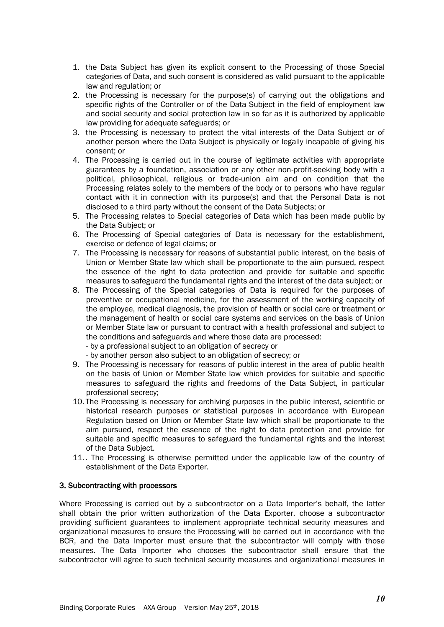- 1. the Data Subject has given its explicit consent to the Processing of those Special categories of Data, and such consent is considered as valid pursuant to the applicable law and regulation; or
- 2. the Processing is necessary for the purpose(s) of carrying out the obligations and specific rights of the Controller or of the Data Subject in the field of employment law and social security and social protection law in so far as it is authorized by applicable law providing for adequate safeguards; or
- 3. the Processing is necessary to protect the vital interests of the Data Subject or of another person where the Data Subject is physically or legally incapable of giving his consent; or
- 4. The Processing is carried out in the course of legitimate activities with appropriate guarantees by a foundation, association or any other non-profit-seeking body with a political, philosophical, religious or trade-union aim and on condition that the Processing relates solely to the members of the body or to persons who have regular contact with it in connection with its purpose(s) and that the Personal Data is not disclosed to a third party without the consent of the Data Subjects; or
- 5. The Processing relates to Special categories of Data which has been made public by the Data Subject; or
- 6. The Processing of Special categories of Data is necessary for the establishment, exercise or defence of legal claims; or
- 7. The Processing is necessary for reasons of substantial public interest, on the basis of Union or Member State law which shall be proportionate to the aim pursued, respect the essence of the right to data protection and provide for suitable and specific measures to safeguard the fundamental rights and the interest of the data subject; or
- 8. The Processing of the Special categories of Data is required for the purposes of preventive or occupational medicine, for the assessment of the working capacity of the employee, medical diagnosis, the provision of health or social care or treatment or the management of health or social care systems and services on the basis of Union or Member State law or pursuant to contract with a health professional and subject to the conditions and safeguards and where those data are processed:
	- by a professional subject to an obligation of secrecy or
	- by another person also subject to an obligation of secrecy; or
- 9. The Processing is necessary for reasons of public interest in the area of public health on the basis of Union or Member State law which provides for suitable and specific measures to safeguard the rights and freedoms of the Data Subject, in particular professional secrecy;
- 10. The Processing is necessary for archiving purposes in the public interest, scientific or historical research purposes or statistical purposes in accordance with European Regulation based on Union or Member State law which shall be proportionate to the aim pursued, respect the essence of the right to data protection and provide for suitable and specific measures to safeguard the fundamental rights and the interest of the Data Subject.
- 11.. The Processing is otherwise permitted under the applicable law of the country of establishment of the Data Exporter.

#### 3. Subcontracting with processors

Where Processing is carried out by a subcontractor on a Data Importer's behalf, the latter shall obtain the prior written authorization of the Data Exporter, choose a subcontractor providing sufficient guarantees to implement appropriate technical security measures and organizational measures to ensure the Processing will be carried out in accordance with the BCR, and the Data Importer must ensure that the subcontractor will comply with those measures. The Data Importer who chooses the subcontractor shall ensure that the subcontractor will agree to such technical security measures and organizational measures in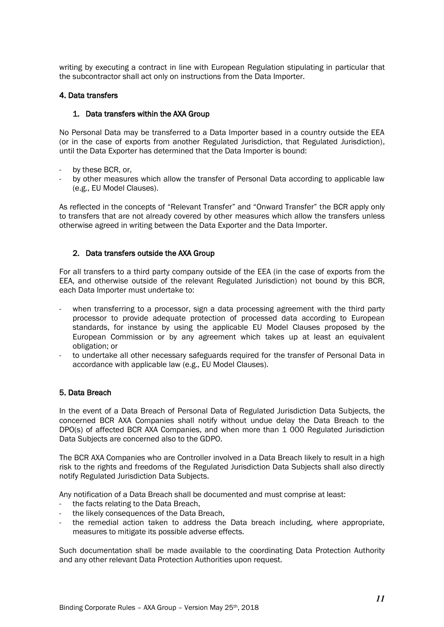writing by executing a contract in line with European Regulation stipulating in particular that the subcontractor shall act only on instructions from the Data Importer.

#### 4. Data transfers

### 1. Data transfers within the AXA Group

No Personal Data may be transferred to a Data Importer based in a country outside the EEA (or in the case of exports from another Regulated Jurisdiction, that Regulated Jurisdiction), until the Data Exporter has determined that the Data Importer is bound:

- by these BCR, or,
- by other measures which allow the transfer of Personal Data according to applicable law (e.g., EU Model Clauses).

As reflected in the concepts of "Relevant Transfer" and "Onward Transfer" the BCR apply only to transfers that are not already covered by other measures which allow the transfers unless otherwise agreed in writing between the Data Exporter and the Data Importer.

# 2. Data transfers outside the AXA Group

For all transfers to a third party company outside of the EEA (in the case of exports from the EEA, and otherwise outside of the relevant Regulated Jurisdiction) not bound by this BCR, each Data Importer must undertake to:

- when transferring to a processor, sign a data processing agreement with the third party processor to provide adequate protection of processed data according to European standards, for instance by using the applicable EU Model Clauses proposed by the European Commission or by any agreement which takes up at least an equivalent obligation; or
- to undertake all other necessary safeguards required for the transfer of Personal Data in accordance with applicable law (e.g., EU Model Clauses).

#### 5. Data Breach

In the event of a Data Breach of Personal Data of Regulated Jurisdiction Data Subjects, the concerned BCR AXA Companies shall notify without undue delay the Data Breach to the DPO(s) of affected BCR AXA Companies, and when more than 1 000 Regulated Jurisdiction Data Subjects are concerned also to the GDPO.

The BCR AXA Companies who are Controller involved in a Data Breach likely to result in a high risk to the rights and freedoms of the Regulated Jurisdiction Data Subjects shall also directly notify Regulated Jurisdiction Data Subjects.

Any notification of a Data Breach shall be documented and must comprise at least:

- the facts relating to the Data Breach.
- the likely consequences of the Data Breach,
- the remedial action taken to address the Data breach including, where appropriate, measures to mitigate its possible adverse effects.

Such documentation shall be made available to the coordinating Data Protection Authority and any other relevant Data Protection Authorities upon request.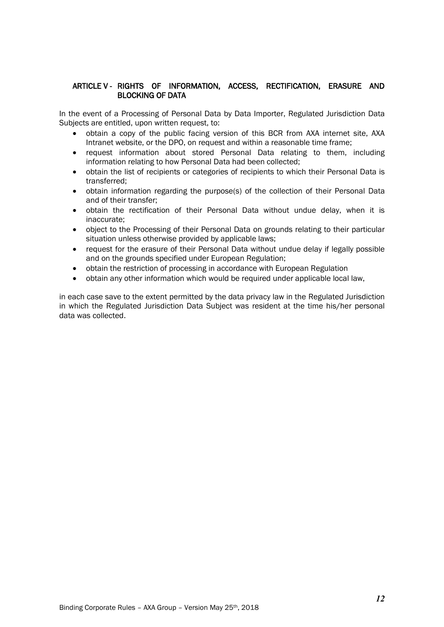# ARTICLE V - RIGHTS OF INFORMATION, ACCESS, RECTIFICATION, ERASURE AND BLOCKING OF DATA

In the event of a Processing of Personal Data by Data Importer, Regulated Jurisdiction Data Subjects are entitled, upon written request, to:

- obtain a copy of the public facing version of this BCR from AXA internet site, AXA Intranet website, or the DPO, on request and within a reasonable time frame;
- request information about stored Personal Data relating to them, including information relating to how Personal Data had been collected;
- obtain the list of recipients or categories of recipients to which their Personal Data is transferred;
- obtain information regarding the purpose(s) of the collection of their Personal Data and of their transfer;
- obtain the rectification of their Personal Data without undue delay, when it is inaccurate;
- object to the Processing of their Personal Data on grounds relating to their particular situation unless otherwise provided by applicable laws;
- request for the erasure of their Personal Data without undue delay if legally possible and on the grounds specified under European Regulation;
- obtain the restriction of processing in accordance with European Regulation
- obtain any other information which would be required under applicable local law,

in each case save to the extent permitted by the data privacy law in the Regulated Jurisdiction in which the Regulated Jurisdiction Data Subject was resident at the time his/her personal data was collected.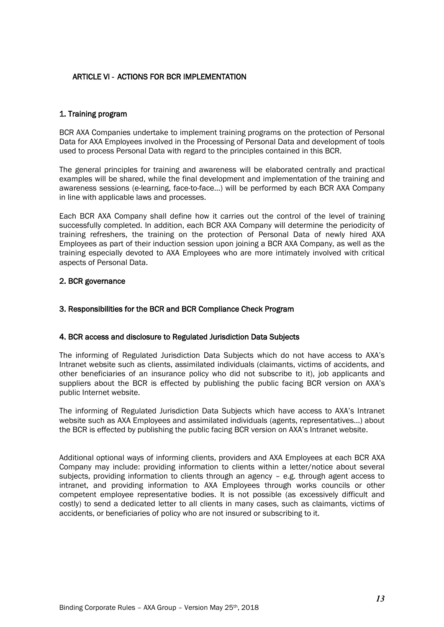# ARTICLE VI - ACTIONS FOR BCR IMPLEMENTATION

#### 1. Training program

BCR AXA Companies undertake to implement training programs on the protection of Personal Data for AXA Employees involved in the Processing of Personal Data and development of tools used to process Personal Data with regard to the principles contained in this BCR.

The general principles for training and awareness will be elaborated centrally and practical examples will be shared, while the final development and implementation of the training and awareness sessions (e-learning, face-to-face…) will be performed by each BCR AXA Company in line with applicable laws and processes.

Each BCR AXA Company shall define how it carries out the control of the level of training successfully completed. In addition, each BCR AXA Company will determine the periodicity of training refreshers, the training on the protection of Personal Data of newly hired AXA Employees as part of their induction session upon joining a BCR AXA Company, as well as the training especially devoted to AXA Employees who are more intimately involved with critical aspects of Personal Data.

# 2. BCR governance

### 3. Responsibilities for the BCR and BCR Compliance Check Program

#### 4. BCR access and disclosure to Regulated Jurisdiction Data Subjects

The informing of Regulated Jurisdiction Data Subjects which do not have access to AXA's Intranet website such as clients, assimilated individuals (claimants, victims of accidents, and other beneficiaries of an insurance policy who did not subscribe to it), job applicants and suppliers about the BCR is effected by publishing the public facing BCR version on AXA's public Internet website.

The informing of Regulated Jurisdiction Data Subjects which have access to AXA's Intranet website such as AXA Employees and assimilated individuals (agents, representatives…) about the BCR is effected by publishing the public facing BCR version on AXA's Intranet website.

Additional optional ways of informing clients, providers and AXA Employees at each BCR AXA Company may include: providing information to clients within a letter/notice about several subjects, providing information to clients through an agency – e.g. through agent access to intranet, and providing information to AXA Employees through works councils or other competent employee representative bodies. It is not possible (as excessively difficult and costly) to send a dedicated letter to all clients in many cases, such as claimants, victims of accidents, or beneficiaries of policy who are not insured or subscribing to it.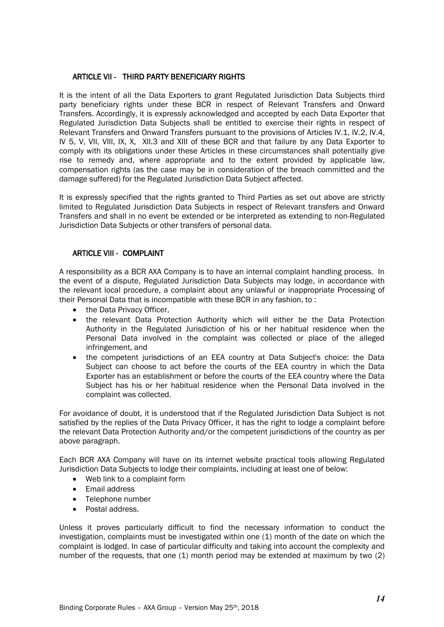# ARTICLE VII - THIRD PARTY BENEFICIARY RIGHTS

It is the intent of all the Data Exporters to grant Regulated Jurisdiction Data Subjects third party beneficiary rights under these BCR in respect of Relevant Transfers and Onward Transfers. Accordingly, it is expressly acknowledged and accepted by each Data Exporter that Regulated Jurisdiction Data Subjects shall be entitled to exercise their rights in respect of Relevant Transfers and Onward Transfers pursuant to the provisions of Articles IV.1, IV.2, IV.4, IV 5, V, VII, VIII, IX, X, XII.3 and XIII of these BCR and that failure by any Data Exporter to comply with its obligations under these Articles in these circumstances shall potentially give rise to remedy and, where appropriate and to the extent provided by applicable law, compensation rights (as the case may be in consideration of the breach committed and the damage suffered) for the Regulated Jurisdiction Data Subject affected.

It is expressly specified that the rights granted to Third Parties as set out above are strictly limited to Regulated Jurisdiction Data Subjects in respect of Relevant transfers and Onward Transfers and shall in no event be extended or be interpreted as extending to non-Regulated Jurisdiction Data Subjects or other transfers of personal data.

### ARTICLE VIII - COMPLAINT

A responsibility as a BCR AXA Company is to have an internal complaint handling process. In the event of a dispute, Regulated Jurisdiction Data Subjects may lodge, in accordance with the relevant local procedure, a complaint about any unlawful or inappropriate Processing of their Personal Data that is incompatible with these BCR in any fashion, to :

- the Data Privacy Officer,
- the relevant Data Protection Authority which will either be the Data Protection Authority in the Regulated Jurisdiction of his or her habitual residence when the Personal Data involved in the complaint was collected or place of the alleged infringement, and
- the competent jurisdictions of an EEA country at Data Subject's choice: the Data Subject can choose to act before the courts of the EEA country in which the Data Exporter has an establishment or before the courts of the EEA country where the Data Subject has his or her habitual residence when the Personal Data involved in the complaint was collected.

For avoidance of doubt, it is understood that if the Regulated Jurisdiction Data Subject is not satisfied by the replies of the Data Privacy Officer, it has the right to lodge a complaint before the relevant Data Protection Authority and/or the competent jurisdictions of the country as per above paragraph.

Each BCR AXA Company will have on its internet website practical tools allowing Regulated Jurisdiction Data Subjects to lodge their complaints, including at least one of below:

- Web link to a complaint form
- Email address
- Telephone number
- Postal address.

Unless it proves particularly difficult to find the necessary information to conduct the investigation, complaints must be investigated within one (1) month of the date on which the complaint is lodged. In case of particular difficulty and taking into account the complexity and number of the requests, that one (1) month period may be extended at maximum by two (2)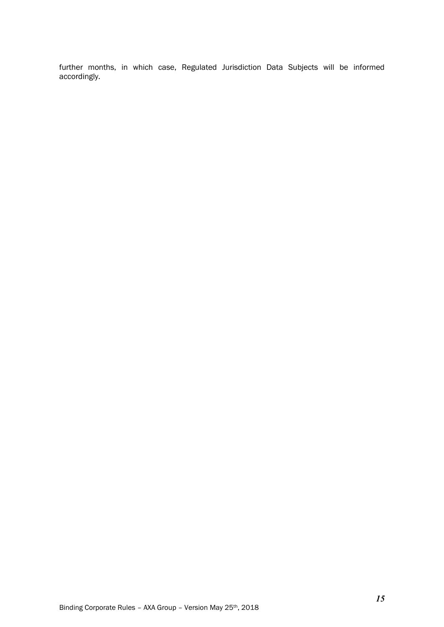further months, in which case, Regulated Jurisdiction Data Subjects will be informed accordingly.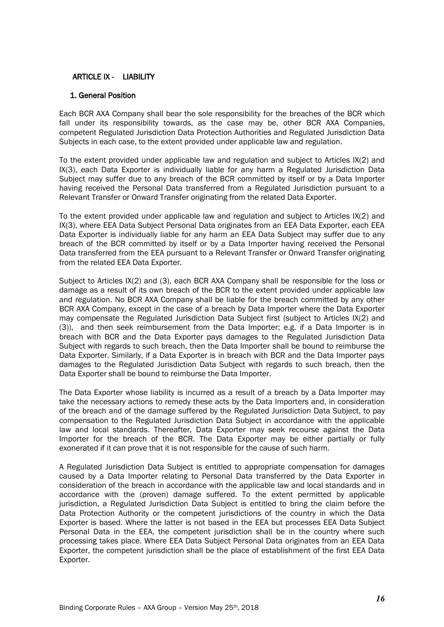# ARTICLE IX - LIABILITY

#### 1. General Position

Each BCR AXA Company shall bear the sole responsibility for the breaches of the BCR which fall under its responsibility towards, as the case may be, other BCR AXA Companies, competent Regulated Jurisdiction Data Protection Authorities and Regulated Jurisdiction Data Subjects in each case, to the extent provided under applicable law and regulation.

To the extent provided under applicable law and regulation and subject to Articles IX(2) and IX(3), each Data Exporter is individually liable for any harm a Regulated Jurisdiction Data Subject may suffer due to any breach of the BCR committed by itself or by a Data Importer having received the Personal Data transferred from a Regulated Jurisdiction pursuant to a Relevant Transfer or Onward Transfer originating from the related Data Exporter.

To the extent provided under applicable law and regulation and subject to Articles IX(2) and IX(3), where EEA Data Subject Personal Data originates from an EEA Data Exporter, each EEA Data Exporter is individually liable for any harm an EEA Data Subject may suffer due to any breach of the BCR committed by itself or by a Data Importer having received the Personal Data transferred from the EEA pursuant to a Relevant Transfer or Onward Transfer originating from the related EEA Data Exporter.

Subject to Articles IX(2) and (3), each BCR AXA Company shall be responsible for the loss or damage as a result of its own breach of the BCR to the extent provided under applicable law and regulation. No BCR AXA Company shall be liable for the breach committed by any other BCR AXA Company, except in the case of a breach by Data Importer where the Data Exporter may compensate the Regulated Jurisdiction Data Subject first (subject to Articles IX(2) and (3)), and then seek reimbursement from the Data Importer; e.g. if a Data Importer is in breach with BCR and the Data Exporter pays damages to the Regulated Jurisdiction Data Subject with regards to such breach, then the Data Importer shall be bound to reimburse the Data Exporter. Similarly, if a Data Exporter is in breach with BCR and the Data Importer pays damages to the Regulated Jurisdiction Data Subject with regards to such breach, then the Data Exporter shall be bound to reimburse the Data Importer.

The Data Exporter whose liability is incurred as a result of a breach by a Data Importer may take the necessary actions to remedy these acts by the Data Importers and, in consideration of the breach and of the damage suffered by the Regulated Jurisdiction Data Subject, to pay compensation to the Regulated Jurisdiction Data Subject in accordance with the applicable law and local standards. Thereafter, Data Exporter may seek recourse against the Data Importer for the breach of the BCR. The Data Exporter may be either partially or fully exonerated if it can prove that it is not responsible for the cause of such harm.

A Regulated Jurisdiction Data Subject is entitled to appropriate compensation for damages caused by a Data Importer relating to Personal Data transferred by the Data Exporter in consideration of the breach in accordance with the applicable law and local standards and in accordance with the (proven) damage suffered. To the extent permitted by applicable jurisdiction, a Regulated Jurisdiction Data Subject is entitled to bring the claim before the Data Protection Authority or the competent jurisdictions of the country in which the Data Exporter is based. Where the latter is not based in the EEA but processes EEA Data Subject Personal Data in the EEA, the competent jurisdiction shall be in the country where such processing takes place. Where EEA Data Subject Personal Data originates from an EEA Data Exporter, the competent jurisdiction shall be the place of establishment of the first EEA Data Exporter.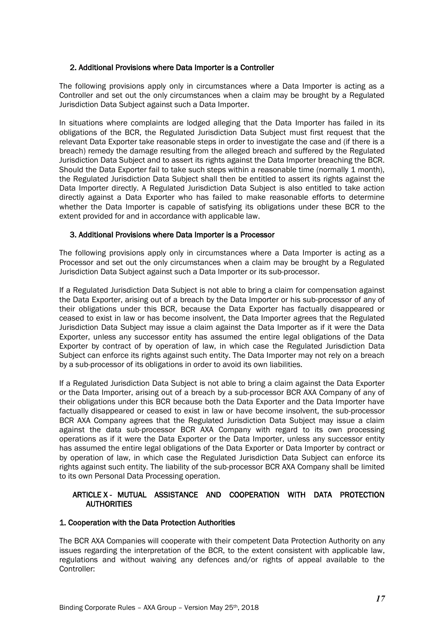#### 2. Additional Provisions where Data Importer is a Controller

The following provisions apply only in circumstances where a Data Importer is acting as a Controller and set out the only circumstances when a claim may be brought by a Regulated Jurisdiction Data Subject against such a Data Importer.

In situations where complaints are lodged alleging that the Data Importer has failed in its obligations of the BCR, the Regulated Jurisdiction Data Subject must first request that the relevant Data Exporter take reasonable steps in order to investigate the case and (if there is a breach) remedy the damage resulting from the alleged breach and suffered by the Regulated Jurisdiction Data Subject and to assert its rights against the Data Importer breaching the BCR. Should the Data Exporter fail to take such steps within a reasonable time (normally 1 month), the Regulated Jurisdiction Data Subject shall then be entitled to assert its rights against the Data Importer directly. A Regulated Jurisdiction Data Subject is also entitled to take action directly against a Data Exporter who has failed to make reasonable efforts to determine whether the Data Importer is capable of satisfying its obligations under these BCR to the extent provided for and in accordance with applicable law.

### 3. Additional Provisions where Data Importer is a Processor

The following provisions apply only in circumstances where a Data Importer is acting as a Processor and set out the only circumstances when a claim may be brought by a Regulated Jurisdiction Data Subject against such a Data Importer or its sub-processor.

If a Regulated Jurisdiction Data Subject is not able to bring a claim for compensation against the Data Exporter, arising out of a breach by the Data Importer or his sub-processor of any of their obligations under this BCR, because the Data Exporter has factually disappeared or ceased to exist in law or has become insolvent, the Data Importer agrees that the Regulated Jurisdiction Data Subject may issue a claim against the Data Importer as if it were the Data Exporter, unless any successor entity has assumed the entire legal obligations of the Data Exporter by contract of by operation of law, in which case the Regulated Jurisdiction Data Subject can enforce its rights against such entity. The Data Importer may not rely on a breach by a sub-processor of its obligations in order to avoid its own liabilities.

If a Regulated Jurisdiction Data Subject is not able to bring a claim against the Data Exporter or the Data Importer, arising out of a breach by a sub-processor BCR AXA Company of any of their obligations under this BCR because both the Data Exporter and the Data Importer have factually disappeared or ceased to exist in law or have become insolvent, the sub-processor BCR AXA Company agrees that the Regulated Jurisdiction Data Subject may issue a claim against the data sub-processor BCR AXA Company with regard to its own processing operations as if it were the Data Exporter or the Data Importer, unless any successor entity has assumed the entire legal obligations of the Data Exporter or Data Importer by contract or by operation of law, in which case the Regulated Jurisdiction Data Subject can enforce its rights against such entity. The liability of the sub-processor BCR AXA Company shall be limited to its own Personal Data Processing operation.

### ARTICLE X - MUTUAL ASSISTANCE AND COOPERATION WITH DATA PROTECTION **AUTHORITIES**

#### 1. Cooperation with the Data Protection Authorities

The BCR AXA Companies will cooperate with their competent Data Protection Authority on any issues regarding the interpretation of the BCR, to the extent consistent with applicable law, regulations and without waiving any defences and/or rights of appeal available to the Controller: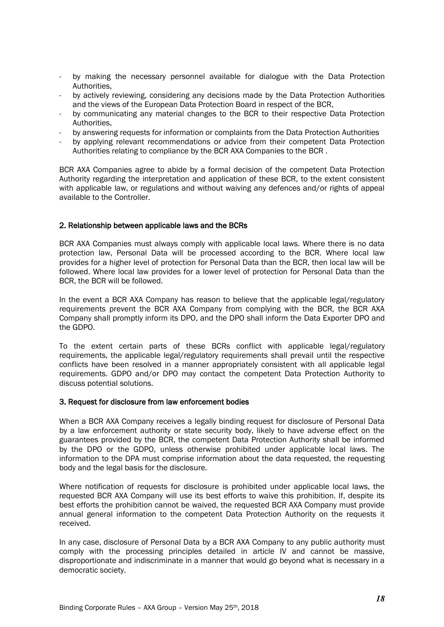- by making the necessary personnel available for dialogue with the Data Protection Authorities,
- by actively reviewing, considering any decisions made by the Data Protection Authorities and the views of the European Data Protection Board in respect of the BCR,
- by communicating any material changes to the BCR to their respective Data Protection Authorities,
- by answering requests for information or complaints from the Data Protection Authorities
- by applying relevant recommendations or advice from their competent Data Protection Authorities relating to compliance by the BCR AXA Companies to the BCR .

BCR AXA Companies agree to abide by a formal decision of the competent Data Protection Authority regarding the interpretation and application of these BCR, to the extent consistent with applicable law, or regulations and without waiving any defences and/or rights of appeal available to the Controller.

#### 2. Relationship between applicable laws and the BCRs

BCR AXA Companies must always comply with applicable local laws. Where there is no data protection law, Personal Data will be processed according to the BCR. Where local law provides for a higher level of protection for Personal Data than the BCR, then local law will be followed. Where local law provides for a lower level of protection for Personal Data than the BCR, the BCR will be followed.

In the event a BCR AXA Company has reason to believe that the applicable legal/regulatory requirements prevent the BCR AXA Company from complying with the BCR, the BCR AXA Company shall promptly inform its DPO, and the DPO shall inform the Data Exporter DPO and the GDPO.

To the extent certain parts of these BCRs conflict with applicable legal/regulatory requirements, the applicable legal/regulatory requirements shall prevail until the respective conflicts have been resolved in a manner appropriately consistent with all applicable legal requirements. GDPO and/or DPO may contact the competent Data Protection Authority to discuss potential solutions.

#### 3. Request for disclosure from law enforcement bodies

When a BCR AXA Company receives a legally binding request for disclosure of Personal Data by a law enforcement authority or state security body, likely to have adverse effect on the guarantees provided by the BCR, the competent Data Protection Authority shall be informed by the DPO or the GDPO, unless otherwise prohibited under applicable local laws. The information to the DPA must comprise information about the data requested, the requesting body and the legal basis for the disclosure.

Where notification of requests for disclosure is prohibited under applicable local laws, the requested BCR AXA Company will use its best efforts to waive this prohibition. If, despite its best efforts the prohibition cannot be waived, the requested BCR AXA Company must provide annual general information to the competent Data Protection Authority on the requests it received.

In any case, disclosure of Personal Data by a BCR AXA Company to any public authority must comply with the processing principles detailed in article IV and cannot be massive, disproportionate and indiscriminate in a manner that would go beyond what is necessary in a democratic society.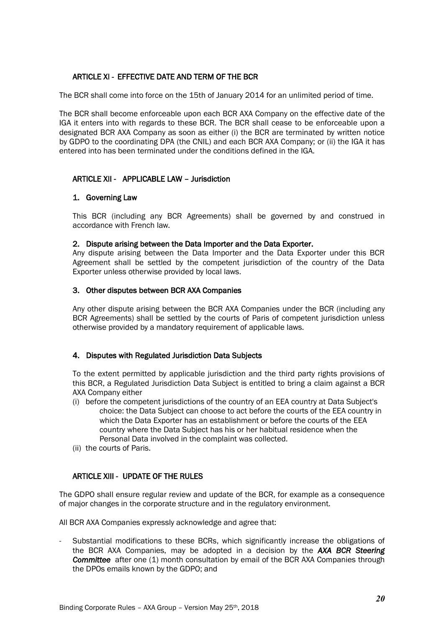# ARTICLE XI - EFFECTIVE DATE AND TERM OF THE BCR

The BCR shall come into force on the 15th of January 2014 for an unlimited period of time.

The BCR shall become enforceable upon each BCR AXA Company on the effective date of the IGA it enters into with regards to these BCR. The BCR shall cease to be enforceable upon a designated BCR AXA Company as soon as either (i) the BCR are terminated by written notice by GDPO to the coordinating DPA (the CNIL) and each BCR AXA Company; or (ii) the IGA it has entered into has been terminated under the conditions defined in the IGA.

# ARTICLE XII - APPLICABLE LAW – Jurisdiction

# 1. Governing Law

This BCR (including any BCR Agreements) shall be governed by and construed in accordance with French law.

### 2. Dispute arising between the Data Importer and the Data Exporter.

Any dispute arising between the Data Importer and the Data Exporter under this BCR Agreement shall be settled by the competent jurisdiction of the country of the Data Exporter unless otherwise provided by local laws.

### 3. Other disputes between BCR AXA Companies

Any other dispute arising between the BCR AXA Companies under the BCR (including any BCR Agreements) shall be settled by the courts of Paris of competent jurisdiction unless otherwise provided by a mandatory requirement of applicable laws.

# 4. Disputes with Regulated Jurisdiction Data Subjects

To the extent permitted by applicable jurisdiction and the third party rights provisions of this BCR, a Regulated Jurisdiction Data Subject is entitled to bring a claim against a BCR AXA Company either

- (i) before the competent jurisdictions of the country of an EEA country at Data Subject's choice: the Data Subject can choose to act before the courts of the EEA country in which the Data Exporter has an establishment or before the courts of the EEA country where the Data Subject has his or her habitual residence when the Personal Data involved in the complaint was collected.
- (ii) the courts of Paris.

# ARTICLE XIII - UPDATE OF THE RULES

The GDPO shall ensure regular review and update of the BCR, for example as a consequence of major changes in the corporate structure and in the regulatory environment.

All BCR AXA Companies expressly acknowledge and agree that:

- Substantial modifications to these BCRs, which significantly increase the obligations of the BCR AXA Companies, may be adopted in a decision by the *AXA BCR Steering Committee* after one (1) month consultation by email of the BCR AXA Companies through the DPOs emails known by the GDPO; and